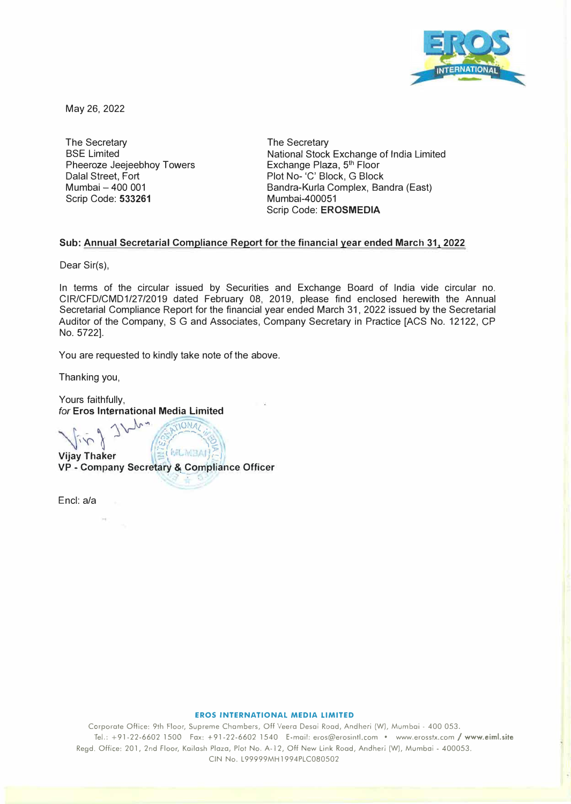

May 26, 2022

The Secretary BSE Limited Pheeroze Jeejeebhoy Towers Dalal Street, Fort Mumbai - 400 001 Scrip Code: **533261** 

The Secretary National Stock Exchange of India Limited Exchange Plaza, 5<sup>th</sup> Floor Plot No- 'C' Block, G Block Bandra-Kurla Complex, Sandra (East) Mumbai-400051 Scrip Code: **EROSMEDIA** 

## **Sub: Annual Secretarial Compliance Report for the financial year ended March 31, 2022**

Dear Sir(s),

In terms of the circular issued by Securities and Exchange Board of India vide circular no. CIR/CFD/CMD1/27/2019 dated February 08, 2019, please find enclosed herewith the Annual Secretarial Compliance Report for the financial year ended March 31, 2022 issued by the Secretarial Auditor of the Company, S G and Associates, Company Secretary in Practice [ACS No. 12122, GP No. 5722].

You are requested to kindly take note of the above.

Thanking you,

Yours faithfully, *for* **Eros International Media Limited** 

> $-9$  1  $\sqrt{v}$  ,  $\frac{p_{3}710N_{46}}{v_{12}}$  $\frac{1}{1}$  ,j  $\frac{1}{100}$

*<i>MLMBAI* **Vijay Thaker VP - Company Secretary &,\_Cqmpliance Officer** 

Encl: a/a

## **EROS INTERNATIONAL MEDIA LIMITED**

Corporate Office: 9th Floor, Supreme Chambers, Off Veera Desai Road, Andheri (W), Mumbai - 400 053. Tel.: +91-22-6602 1500 Fax: +91-22-6602 1540 E-mail: eros@erosintl.com • www.erosstx.com/ **www.eiml.site**  Regd. Office: 201, 2nd Floor, Kailash Plaza, Plot No. A-12, Off New Link Road, Andheri (W), Mumbai - 400053. CIN No. L99999MH1994PLC080502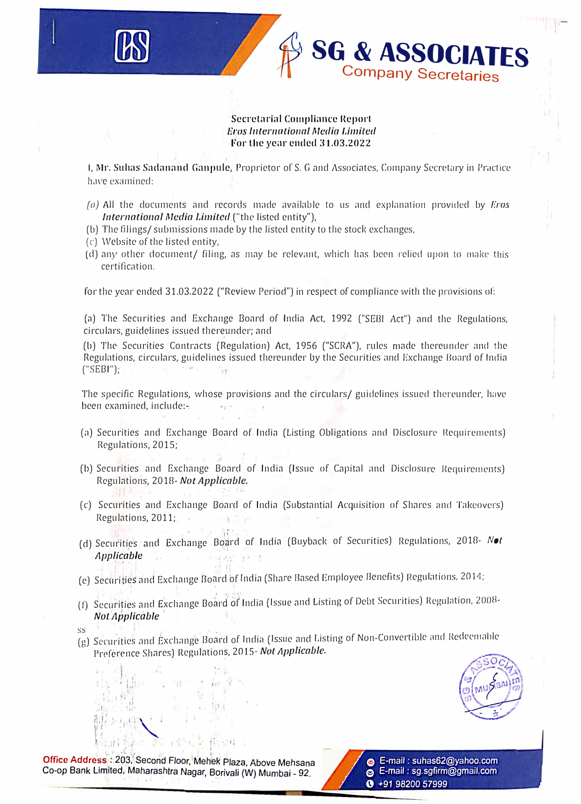## Secretarial Compliance Report: *Eros /11ternatio11a/ Media Umited For* **the yenr** *cnclccl* **31.03.2022**

**SG & ASSOCIATES**

**Company Secretaries**

1, Mr. Suhas Sadanand Ganpule, Proprietor of S. G and Associates, Company Secretary in Practice have examined:

- (a) All the documents and records made available to us and explanation provided by *Eros International Media Limited* ("the listed entity"),
- (b) The filings/ submissions made by the listed entity to the stock exchanges,
- (c) Website of the listed entity,
- $(d)$  any other document/ filing, as may be relevant, which has been relied upon to make this certification.

for the year ended 31.03.2022 ("Review Period") in respect of compliance with the provisions of:

(a) The Securities and Exchange Board of India Act, 1992 ("SEBI Act") and the Regulations, circulars, guidelines issued thereunder; and

(b) The Securities Contracts (Regulation) Act, 1956 ("SCRA"), rules made thereunder and the Regulations, circulars, guidelines issued thereunder by the Securities and Exchange Board of India<br>("SEBI"): ("SEBI");

The specific Regulations, whose provisions and the circulars/ guidelines issued thereunder, have been examined, include:-: www.communications.com

- (a) Securities and Exchange Board of India (Listing Obligations and Disclosure Requirements) Regulations, 2015;
- (b) Securities· and Exchange Board of India (Issue of Capital and Disclosure Requirements) Regulations, 2018- *Not Applicable.* **, . :· .. .. ',,,,**
- ( c) Securities and Exchange Goard of India (Substantial Acquisition of Shares and Takeovers) Regulations, 2011;
- ·1r· . (d) Securities and Exchange Board of India (Buyback of Securities) Regulations, 2018- Not *Applicable* **I** • *Applicable* **I** • *I* • **I** • **I** • **I** • **I** • **I** • **I** • **I** • **I** • **I** • **I** • **I** • **I** • **I** • **I** • **I** • **I** • **I** • **I** • **I** • **I** • **I** • **I** • **I** • **I** • **I** • **I** • **I** • **I** • **I** •
- IJ , Securities and Exchange Board of India (Share Based Employee Benefits) Regulations, 2014;<br>C) Securities and Exchange Board of India (Share Based Employee Benefits) Regulations, 2014;
- (f) Securities and Exchange Board of India (Issue and Listing of Debt Securities) Regulation, 2008-**Not Applicable**
- 

 $\cdot$  li

 $t$   $t$   $t$   $t$ 

,·•,  $\mathbf{e}^{\mathbf{e}}$ **.'I·. .** t-

*t( \_\· :, L'.l'"'<sup>J</sup>*

ss<br>(g) Securities and Exchange Board of India (Issue and Listing of Non-Convertible and Redeemable Preference Shares) Regulations, 2015- *Not Applicable.* 



1 It, ii I • 1: ;, � I I t I • **Office Addre'ss :·** 2b3,',Second ,Floor, �Meh'el< Plaza *Above* Mehsana Co-op Bank Limited, Maharashtra Nagar, Borivali (W) Mumbai - 92.

' ,.. ,, - • **q** 

 $111 - 11$ む ま

� ' : , , t I "' **I.. : i !' <sup>I</sup>. ,: : .: '** <sup>I</sup>

'1



ek Plaza, Above Mehsana<br>Borivali (W) Mumbai - 92.<br> **C** +91 98200 57999 **e** E-mail : sg.sgfirm@gmail.com **0 +91 98200 57999**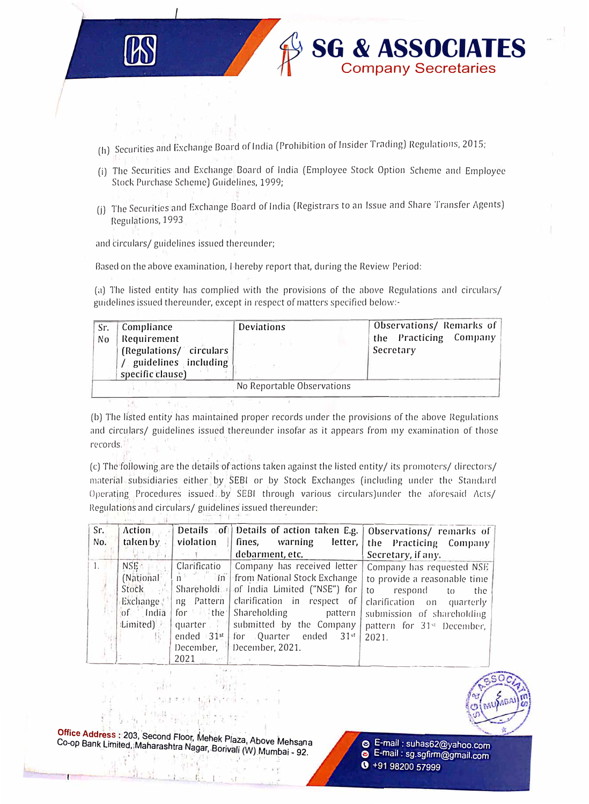

- (h) Securities and Exchange Board of India (Prohibition of Insider Trading) Regulations, 2015;
- (i) The Securities and Exchange Board of India (Employee Stock Option Scheme and Employee Stock Purchase Scheme) Guidelines, 1999;

**SG & ASSOCIATES**<br>Company Secretaries

(j) The Securities and Exchange Board of India (Registrars to an Issue and Share Transfer Agents) Regulations, 1993

and circulars/ guidelines issued thereunder;

Based on the above examination, I hereby report that, during the Review Period:

(a) The listed entity has complied with the provisions of the above Regulations and circulars/ guidelines issued thereunder, except in respect of matters specified below:-

| Sr.                        | Compliance              | <b>Deviations</b> | Observations/ Remarks of |  |  |  |  |
|----------------------------|-------------------------|-------------------|--------------------------|--|--|--|--|
| No                         | Requirement             |                   | the Practicing Company   |  |  |  |  |
|                            | (Regulations/ circulars |                   | Secretary                |  |  |  |  |
|                            | guidelines including    |                   |                          |  |  |  |  |
|                            | specific clause)        |                   |                          |  |  |  |  |
| No Reportable Observations |                         |                   |                          |  |  |  |  |

(b) The listed entity has maintained proper records under the provisions of the above Regulations and circulars/ guidelines issued thereunder insofar as it appears from my examination of those records.<sup>1</sup>

(c) The following are the details of actions taken against the listed entity/ its promoters/ directors/ material subsidiaries either by SEBI or by Stock Exchanges (including under the Standard Operating Procedures issued by SEBI through various circulars)under the aforesaid Acts/ Regulations and circulars/ guidelines issued thereunder:

| Sr.<br>No. | <b>Action</b><br>taken by | violation    |                                                                     | Details of Details of action taken E.g.   Observations/ remarks of<br>fines, warning letter, the Practicing Company |
|------------|---------------------------|--------------|---------------------------------------------------------------------|---------------------------------------------------------------------------------------------------------------------|
|            |                           |              | debarment, etc.                                                     | Secretary, if any.                                                                                                  |
| 1.         | NSE:                      | Clarificatio | Company has received letter                                         | Company has requested NSE                                                                                           |
|            | (National                 |              | n in in from National Stock Exchange   to provide a reasonable time |                                                                                                                     |
|            | Stock                     |              | Shareholdi 4 of India Limited ("NSE") for $ $ to                    | respond<br>to<br>the                                                                                                |
|            | Exchange:                 |              | ng Pattern clarification in respect of clarification on quarterly   |                                                                                                                     |
|            | of India                  |              | for the Shareholding pattern                                        | submission of shareholding                                                                                          |
|            | tLimited)                 |              | quarter   submitted by the Company   pattern for 31st December,     |                                                                                                                     |
|            |                           | ended $31st$ | for Quarter ended $31^{st}$ 2021.                                   |                                                                                                                     |
|            |                           | December,    | December, 2021.                                                     |                                                                                                                     |
|            |                           | 2021         |                                                                     |                                                                                                                     |



Office Address: 203, Second Floor, Mehek Plaza, Above Mehsana Co-op Bank Limited, Maharashtra Nagar, Borivali (W) Mumbai - 92.

E-mail: suhas62@yahoo.com E-mail: sg.sgfirm@gmail.com  $9 + 919820057999$